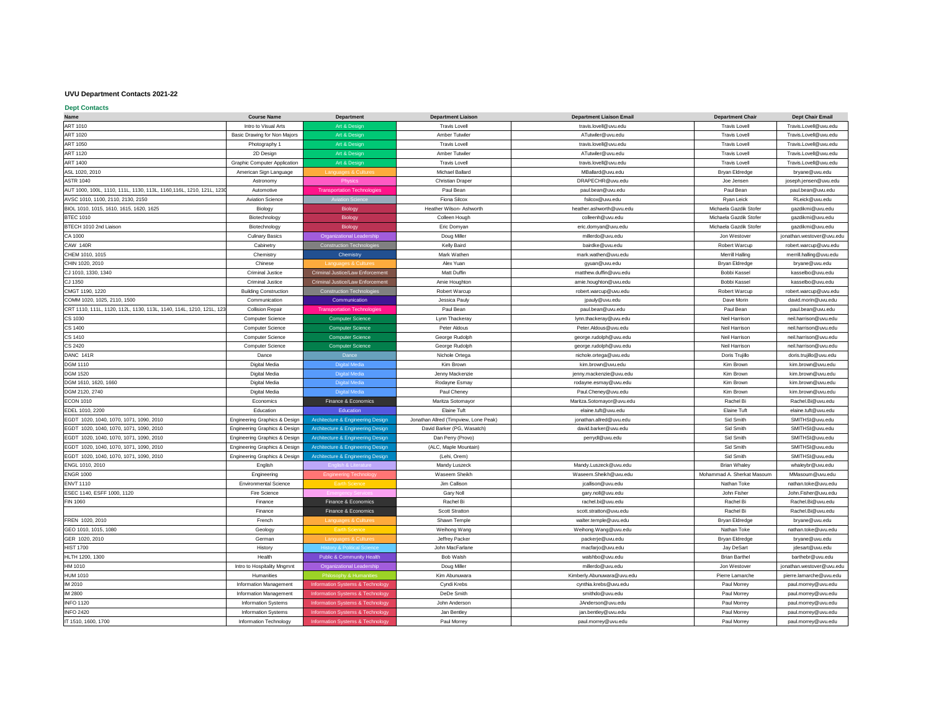## **UVU Department Contacts 2021-22**

| <b>Dept Contacts</b>                                                 |                                          |                                              |                                       |                                 |                            |                           |
|----------------------------------------------------------------------|------------------------------------------|----------------------------------------------|---------------------------------------|---------------------------------|----------------------------|---------------------------|
| <b>Name</b>                                                          | <b>Course Name</b>                       | <b>Department</b>                            | <b>Department Liaison</b>             | <b>Department Liaison Email</b> | <b>Department Chair</b>    | <b>Dept Chair Email</b>   |
| <b>ART 1010</b>                                                      | Intro to Visual Arts                     | Art & Design                                 | <b>Travis Lovell</b>                  | travis.lovell@uvu.edu           | <b>Travis Lovell</b>       | Travis.Lovell@uvu.edu     |
| <b>ART 1020</b>                                                      | <b>Basic Drawing for Non Majors</b>      | Art & Design                                 | <b>Amber Tutwiler</b>                 | ATutwiler@uvu.edu               | <b>Travis Lovell</b>       | Travis.Lovell@uvu.edu     |
| <b>ART 1050</b>                                                      | Photography 1                            | Art & Design                                 | <b>Travis Lovell</b>                  | travis.lovell@uvu.edu           | <b>Travis Lovell</b>       | Travis.Lovell@uvu.edu     |
| <b>ART 1120</b>                                                      | 2D Design                                | Art & Design                                 | <b>Amber Tutwiler</b>                 | ATutwiler@uvu.edu               | <b>Travis Lovell</b>       | Travis.Lovell@uvu.edu     |
| <b>ART 1400</b>                                                      | <b>Graphic Computer Application</b>      | Art & Design                                 | <b>Travis Lovell</b>                  | travis.lovell@uvu.edu           | <b>Travis Lovell</b>       | Travis.Lovell@uvu.edu     |
| ASL 1020, 2010                                                       | American Sign Language                   | <b>Languages &amp; Cultures</b>              | Michael Ballard                       | MBallard@uvu.edu                | <b>Bryan Eldredge</b>      | bryane@uvu.edu            |
| <b>ASTR 1040</b>                                                     | Astronomy                                | Physics                                      | <b>Christian Draper</b>               | DRAPECHR@uvu.edu                | Joe Jensen                 | joseph.jensen@uvu.edu     |
| AUT 1000, 100L, 1110, 111L, 1130, 113L, 1160, 116L, 1210, 121L, 1230 | Automotive                               | <b>Transportation Technologies</b>           | Paul Bean                             | paul.bean@uvu.edu               | Paul Bean                  | paul.bean@uvu.edu         |
| AVSC 1010, 1100, 2110, 2130, 2150                                    | <b>Aviation Science</b>                  | <b>Aviation Science</b>                      | Fiona Silcox                          | fsilcox@uvu.edu                 | <b>Ryan Leick</b>          | RLeick@uvu.edu            |
| BIOL 1010, 1015, 1610, 1615, 1620, 1625                              | Biology                                  | <b>Biology</b>                               | <b>Heather Wilson- Ashworth</b>       | heather.ashworth@uvu.edu        | Michaela Gazdik Stofer     | gazdikmi@uvu.edu          |
| <b>BTEC 1010</b>                                                     | Biotechnology                            | <b>Biology</b>                               | Colleen Hough                         | colleenh@uvu.edu                | Michaela Gazdik Stofer     | gazdikmi@uvu.edu          |
| BTECH 1010 2nd Liaison                                               | Biotechnology                            | <b>Biology</b>                               | Eric Domyan                           | eric.domyan@uvu.edu             | Michaela Gazdik Stofer     | gazdikmi@uvu.edu          |
| CA 1000                                                              | <b>Culinary Basics</b>                   | <b>Organizational Leadership</b>             | Doug Miller                           | millerdo@uvu.edu                | Jon Westover               | jonathan.westover@uvu.edu |
| CAW 140R                                                             | Cabinetry                                | <b>Construction Technologies</b>             | <b>Kelly Baird</b>                    | bairdke@uvu.edu                 | Robert Warcup              | robert.warcup@uvu.edu     |
| CHEM 1010, 1015                                                      | Chemistry                                | Chemistry                                    | Mark Wathen                           | mark.wathen@uvu.edu             | <b>Merrill Halling</b>     | merrill.halling@uvu.edu   |
| CHIN 1020, 2010                                                      | Chinese                                  | Languages & Cultures                         | Alex Yuan                             | gyuan@uvu.edu                   | <b>Bryan Eldredge</b>      | bryane@uvu.edu            |
| CJ 1010, 1330, 1340                                                  | <b>Criminal Justice</b>                  | <b>Criminal Justice/Law Enforcement</b>      | <b>Matt Duffin</b>                    | matthew.duffin@uvu.edu          | Bobbi Kassel               | kasselbo@uvu.edu          |
| CJ 1350                                                              | <b>Criminal Justice</b>                  | <b>Criminal Justice/Law Enforcement</b>      | Amie Houghton                         | amie.houghton@uvu.edu           | Bobbi Kassel               | kasselbo@uvu.edu          |
| CMGT 1190, 1220                                                      | <b>Building Construction</b>             | <b>Construction Technologies</b>             | <b>Robert Warcup</b>                  | robert.warcup@uvu.edu           | Robert Warcup              | robert.warcup@uvu.edu     |
| COMM 1020, 1025, 2110, 1500                                          | Communication                            | Communication                                | Jessica Pauly                         |                                 | Dave Morin                 | david.morin@uvu.edu       |
|                                                                      |                                          |                                              | Paul Bean                             | jpauly@uvu.edu                  | Paul Bean                  |                           |
| CRT 1110, 111L, 1120, 112L, 1130, 113L, 1140, 114L, 1210, 121L, 123  | <b>Collision Repair</b>                  | <b>Transportation Technologies</b>           |                                       | paul.bean@uvu.edu               |                            | paul.bean@uvu.edu         |
| CS 1030                                                              | <b>Computer Science</b>                  | <b>Computer Science</b>                      | Lynn Thackeray                        | lynn.thackeray@uvu.edu          | Neil Harrison              | neil.harrison@uvu.edu     |
| <b>CS 1400</b>                                                       | <b>Computer Science</b>                  | <b>Computer Science</b>                      | Peter Aldous                          | Peter.Aldous@uvu.edu            | Neil Harrison              | neil.harrison@uvu.edu     |
| CS 1410                                                              | <b>Computer Science</b>                  | <b>Computer Science</b>                      | George Rudolph                        | george.rudolph@uvu.edu          | Neil Harrison              | neil.harrison@uvu.edu     |
| <b>CS 2420</b>                                                       | <b>Computer Science</b>                  | <b>Computer Science</b>                      | George Rudolph                        | george.rudolph@uvu.edu          | Neil Harrison              | neil.harrison@uvu.edu     |
| DANC 141R                                                            | Dance                                    | Dance                                        | Nichole Ortega                        | nichole.ortega@uvu.edu          | Doris Trujillo             | doris.trujillo@uvu.edu    |
| <b>DGM 1110</b>                                                      | Digital Media                            | <b>Digital Media</b>                         | Kim Brown                             | kim.brown@uvu.edu               | Kim Brown                  | kim.brown@uvu.edu         |
| <b>DGM 1520</b>                                                      | Digital Media                            | Digital Media                                | Jenny Mackenzie                       | jenny.mackenzie@uvu.edu         | Kim Brown                  | kim.brown@uvu.edu         |
| DGM 1610, 1620, 1660                                                 | Digital Media                            | <b>Digital Media</b>                         | Rodayne Esmay                         | rodayne.esmay@uvu.edu           | Kim Brown                  | kim.brown@uvu.edu         |
| DGM 2120, 2740                                                       | Digital Media                            | <b>Digital Media</b>                         | Paul Cheney                           | Paul.Cheney@uvu.edu             | Kim Brown                  | kim.brown@uvu.edu         |
| <b>ECON 1010</b>                                                     | Economics                                | Finance & Economics                          | Maritza Sotomayor                     | Maritza.Sotomayor@uvu.edu       | Rachel Bi                  | Rachel.Bi@uvu.edu         |
| EDEL 1010, 2200                                                      | Education                                | Education                                    | <b>Elaine Tuft</b>                    | elaine.tuft@uvu.edu             | <b>Elaine Tuft</b>         | elaine.tuft@uvu.edu       |
| EGDT 1020, 1040, 1070, 1071, 1090, 2010                              | <b>Engineering Graphics &amp; Design</b> | <b>Architecture &amp; Engineering Design</b> | Jonathan Allred (Timpview, Lone Peak) | jonathan.allred@uvu.edu         | Sid Smith                  | SMITHSI@uvu.edu           |
| EGDT 1020, 1040, 1070, 1071, 1090, 2010                              | <b>Engineering Graphics &amp; Design</b> | <b>Architecture &amp; Engineering Design</b> | David Barker (PG, Wasatch)            | david.barker@uvu.edu            | Sid Smith                  | SMITHSI@uvu.edu           |
| EGDT 1020, 1040, 1070, 1071, 1090, 2010                              | <b>Engineering Graphics &amp; Design</b> | <b>Architecture &amp; Engineering Design</b> | Dan Perry (Provo)                     | perrydl@uvu.edu                 | Sid Smith                  | SMITHSI@uvu.edu           |
| EGDT 1020, 1040, 1070, 1071, 1090, 2010                              | <b>Engineering Graphics &amp; Design</b> | Architecture & Engineering Design            | (ALC, Maple Mountain)                 |                                 | Sid Smith                  | SMITHSI@uvu.edu           |
| EGDT 1020, 1040, 1070, 1071, 1090, 2010                              | <b>Engineering Graphics &amp; Design</b> | Architecture & Engineering Design            | (Lehi, Orem)                          |                                 | Sid Smith                  | SMITHSI@uvu.edu           |
| ENGL 1010, 2010                                                      | English                                  | <b>English &amp; Literature</b>              | Mandy Luszeck                         | Mandy.Luszeck@uvu.edu           | <b>Brian Whaley</b>        | whaleybr@uvu.edu          |
| <b>ENGR 1000</b>                                                     | Engineering                              | <b>Engineering Technology</b>                | Waseem Sheikh                         | Waseem.Sheikh@uvu.edu           | Mohammad A. Sherkat Masoum | MMasoum@uvu.edu           |
| <b>ENVT 1110</b>                                                     | <b>Environmental Science</b>             | <b>Earth Science</b>                         | Jim Callison                          | jcallison@uvu.edu               | Nathan Toke                | nathan.toke@uvu.edu       |
| ESEC 1140, ESFF 1000, 1120                                           | <b>Fire Science</b>                      | Emergency Services                           | Gary Noll                             | gary.noll@uvu.edu               | John Fisher                | John.Fisher@uvu.edu       |
| <b>FIN 1060</b>                                                      | Finance                                  | Finance & Economics                          | Rachel Bi                             | rachel.bi@uvu.edu               | Rachel Bi                  | Rachel.Bi@uvu.edu         |
|                                                                      | Finance                                  | Finance & Economics                          | <b>Scott Stratton</b>                 | scott.stratton@uvu.edu          | Rachel Bi                  | Rachel.Bi@uvu.edu         |
| FREN 1020, 2010                                                      | French                                   | <b>Languages &amp; Cultures</b>              | Shawn Temple                          | walter.temple@uvu.edu           | <b>Bryan Eldredge</b>      | bryane@uvu.edu            |
| GEO 1010, 1015, 1080                                                 | Geology                                  | <b>Earth Science</b>                         | Weihong Wang                          | Weihong.Wang@uvu.edu            | Nathan Toke                | nathan.toke@uvu.edu       |
| GER 1020, 2010                                                       | German                                   | Languages & Cultures                         | Jeffrey Packer                        | packerje@uvu.edu                | <b>Bryan Eldredge</b>      | bryane@uvu.edu            |
| <b>HIST 1700</b>                                                     | History                                  | <b>History &amp; Political Science</b>       | John MacFarlane                       | macfarjo@uvu.edu                | Jay DeSart                 | jdesart@uvu.edu           |
| HLTH 1200, 1300                                                      | Health                                   | <b>Public &amp; Community Health</b>         | Bob Walsh                             | walshbo@uvu.edu                 | <b>Brian Barthel</b>       | barthebr@uvu.edu          |
| HM 1010                                                              | Intro to Hospitality Mngmnt              | Organizational Leadership                    | Doug Miller                           | millerdo@uvu.edu                | Jon Westover               | jonathan.westover@uvu.edu |
| <b>HUM 1010</b>                                                      | Humanities                               | <b>Philosophy &amp; Humanities</b>           | Kim Abunuwara                         | Kimberly.Abunuwara@uvu.edu      | Pierre Lamarche            | pierre.lamarche@uvu.edu   |
| IM 2010                                                              | <b>Information Management</b>            | Information Systems & Technology             | Cyndi Krebs                           | cynthia.krebs@uvu.edu           | Paul Morrey                | paul.morrey@uvu.edu       |
| <b>IM 2800</b>                                                       | <b>Information Management</b>            | Information Systems & Technology             | DeDe Smith                            | smithdo@uvu.edu                 | Paul Morrey                | paul.morrey@uvu.edu       |
| <b>INFO 1120</b>                                                     | <b>Information Systems</b>               | Information Systems & Technology             | John Anderson                         | JAnderson@uvu.edu               | Paul Morrey                | paul.morrey@uvu.edu       |
| <b>INFO 2420</b>                                                     | <b>Information Systems</b>               | Information Systems & Technology             | Jan Bentley                           | jan.bentley@uvu.edu             | Paul Morrey                | paul.morrey@uvu.edu       |
| IT 1510, 1600, 1700                                                  | <b>Information Technology</b>            | Information Systems & Technology             | <b>Paul Morrey</b>                    | paul.morrey@uvu.edu             | Paul Morrey                | paul.morrey@uvu.edu       |
|                                                                      |                                          |                                              |                                       |                                 |                            |                           |